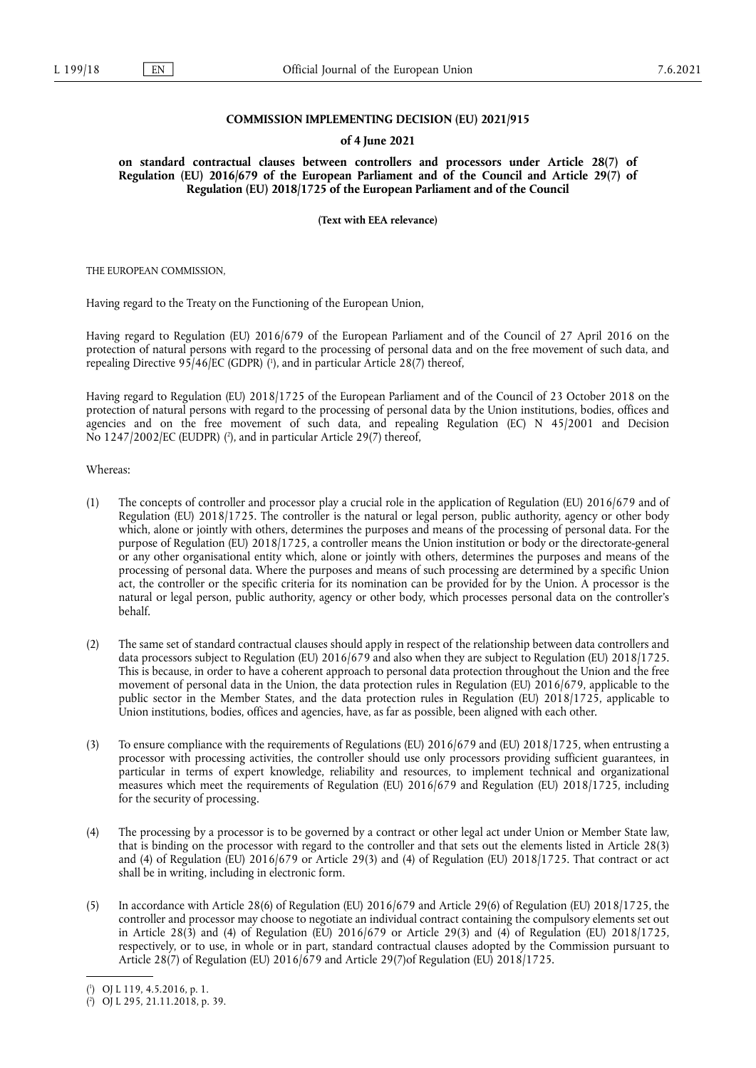### **COMMISSION IMPLEMENTING DECISION (EU) 2021/915**

### **of 4 June 2021**

**on standard contractual clauses between controllers and processors under Article 28(7) of Regulation (EU) 2016/679 of the European Parliament and of the Council and Article 29(7) of Regulation (EU) 2018/1725 of the European Parliament and of the Council** 

**(Text with EEA relevance)** 

THE EUROPEAN COMMISSION,

Having regard to the Treaty on the Functioning of the European Union,

<span id="page-0-2"></span>Having regard to Regulation (EU) 2016/679 of the European Parliament and of the Council of 27 April 2016 on the protection of natural persons with regard to the processing of personal data and on the free movement of such data, and repealing Directive 95/46/EC (GDPR) ( 1 [\),](#page-0-0) and in particular Article 28(7) thereof,

Having regard to Regulation (EU) 2018/1725 of the European Parliament and of the Council of 23 October 2018 on the protection of natural persons with regard to the processing of personal data by the Union institutions, bodies, offices and agencies and on the free movement of such data, and repealing Regulation (EC) N 45/2001 and Decision No 1247/2002/EC (EUDPR) (?[\),](#page-0-1) and in particular Article 29(7) thereof,

<span id="page-0-3"></span>Whereas:

- (1) The concepts of controller and processor play a crucial role in the application of Regulation (EU) 2016/679 and of Regulation (EU) 2018/1725. The controller is the natural or legal person, public authority, agency or other body which, alone or jointly with others, determines the purposes and means of the processing of personal data. For the purpose of Regulation (EU) 2018/1725, a controller means the Union institution or body or the directorate-general or any other organisational entity which, alone or jointly with others, determines the purposes and means of the processing of personal data. Where the purposes and means of such processing are determined by a specific Union act, the controller or the specific criteria for its nomination can be provided for by the Union. A processor is the natural or legal person, public authority, agency or other body, which processes personal data on the controller's behalf.
- (2) The same set of standard contractual clauses should apply in respect of the relationship between data controllers and data processors subject to Regulation (EU) 2016/679 and also when they are subject to Regulation (EU) 2018/1725. This is because, in order to have a coherent approach to personal data protection throughout the Union and the free movement of personal data in the Union, the data protection rules in Regulation (EU) 2016/679, applicable to the public sector in the Member States, and the data protection rules in Regulation (EU) 2018/1725, applicable to Union institutions, bodies, offices and agencies, have, as far as possible, been aligned with each other.
- (3) To ensure compliance with the requirements of Regulations (EU) 2016/679 and (EU) 2018/1725, when entrusting a processor with processing activities, the controller should use only processors providing sufficient guarantees, in particular in terms of expert knowledge, reliability and resources, to implement technical and organizational measures which meet the requirements of Regulation (EU) 2016/679 and Regulation (EU) 2018/1725, including for the security of processing.
- (4) The processing by a processor is to be governed by a contract or other legal act under Union or Member State law, that is binding on the processor with regard to the controller and that sets out the elements listed in Article 28(3) and (4) of Regulation (EU) 2016/679 or Article 29(3) and (4) of Regulation (EU) 2018/1725. That contract or act shall be in writing, including in electronic form.
- (5) In accordance with Article 28(6) of Regulation (EU) 2016/679 and Article 29(6) of Regulation (EU) 2018/1725, the controller and processor may choose to negotiate an individual contract containing the compulsory elements set out in Article 28(3) and (4) of Regulation (EU) 2016/679 or Article 29(3) and (4) of Regulation (EU) 2018/1725, respectively, or to use, in whole or in part, standard contractual clauses adopted by the Commission pursuant to Article 28(7) of Regulation (EU) 2016/679 and Article 29(7)of Regulation (EU) 2018/1725.

<span id="page-0-0"></span>[<sup>\(</sup>](#page-0-2) 1 ) OJ L 119, 4.5.2016, p. 1.

<span id="page-0-1"></span><sup>(</sup> 2 [\)](#page-0-3) OJ L 295, 21.11.2018, p. 39.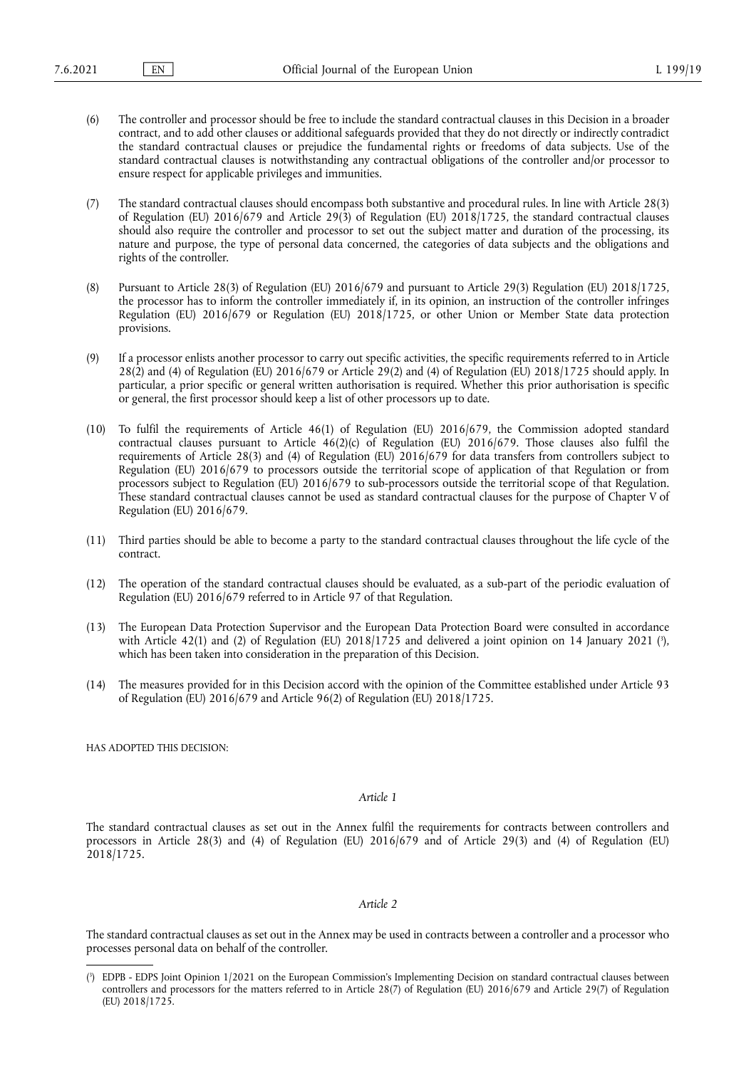- (6) The controller and processor should be free to include the standard contractual clauses in this Decision in a broader contract, and to add other clauses or additional safeguards provided that they do not directly or indirectly contradict the standard contractual clauses or prejudice the fundamental rights or freedoms of data subjects. Use of the standard contractual clauses is notwithstanding any contractual obligations of the controller and/or processor to ensure respect for applicable privileges and immunities.
- (7) The standard contractual clauses should encompass both substantive and procedural rules. In line with Article 28(3) of Regulation (EU) 2016/679 and Article 29(3) of Regulation (EU) 2018/1725, the standard contractual clauses should also require the controller and processor to set out the subject matter and duration of the processing, its nature and purpose, the type of personal data concerned, the categories of data subjects and the obligations and rights of the controller.
- (8) Pursuant to Article 28(3) of Regulation (EU) 2016/679 and pursuant to Article 29(3) Regulation (EU) 2018/1725, the processor has to inform the controller immediately if, in its opinion, an instruction of the controller infringes Regulation (EU) 2016/679 or Regulation (EU) 2018/1725, or other Union or Member State data protection provisions.
- (9) If a processor enlists another processor to carry out specific activities, the specific requirements referred to in Article 28(2) and (4) of Regulation (EU) 2016/679 or Article 29(2) and (4) of Regulation (EU) 2018/1725 should apply. In particular, a prior specific or general written authorisation is required. Whether this prior authorisation is specific or general, the first processor should keep a list of other processors up to date.
- (10) To fulfil the requirements of Article 46(1) of Regulation (EU) 2016/679, the Commission adopted standard contractual clauses pursuant to Article  $46(2)(c)$  of Regulation (EU) 2016/679. Those clauses also fulfil the requirements of Article 28(3) and (4) of Regulation (EU) 2016/679 for data transfers from controllers subject to Regulation (EU) 2016/679 to processors outside the territorial scope of application of that Regulation or from processors subject to Regulation (EU) 2016/679 to sub-processors outside the territorial scope of that Regulation. These standard contractual clauses cannot be used as standard contractual clauses for the purpose of Chapter V of Regulation (EU) 2016/679.
- (11) Third parties should be able to become a party to the standard contractual clauses throughout the life cycle of the contract.
- (12) The operation of the standard contractual clauses should be evaluated, as a sub-part of the periodic evaluation of Regulation (EU) 2016/679 referred to in Article 97 of that Regulation.
- <span id="page-1-1"></span>(13) The European Data Protection Supervisor and the European Data Protection Board were consulted in accordance with Article 42[\(](#page-1-0)1) and (2) of Regulation (EU) 2018/1725 and delivered a joint opinion on 14 January 2021 (?), which has been taken into consideration in the preparation of this Decision.
- (14) The measures provided for in this Decision accord with the opinion of the Committee established under Article 93 of Regulation (EU) 2016/679 and Article 96(2) of Regulation (EU) 2018/1725.

HAS ADOPTED THIS DECISION:

#### *Article 1*

The standard contractual clauses as set out in the Annex fulfil the requirements for contracts between controllers and processors in Article 28(3) and (4) of Regulation (EU) 2016/679 and of Article 29(3) and (4) of Regulation (EU) 2018/1725.

#### *Article 2*

The standard contractual clauses as set out in the Annex may be used in contracts between a controller and a processor who processes personal data on behalf of the controller.

<span id="page-1-0"></span>[<sup>\(</sup>](#page-1-1) 3 ) EDPB - EDPS Joint Opinion 1/2021 on the European Commission's Implementing Decision on standard contractual clauses between controllers and processors for the matters referred to in Article 28(7) of Regulation (EU) 2016/679 and Article 29(7) of Regulation (EU) 2018/1725.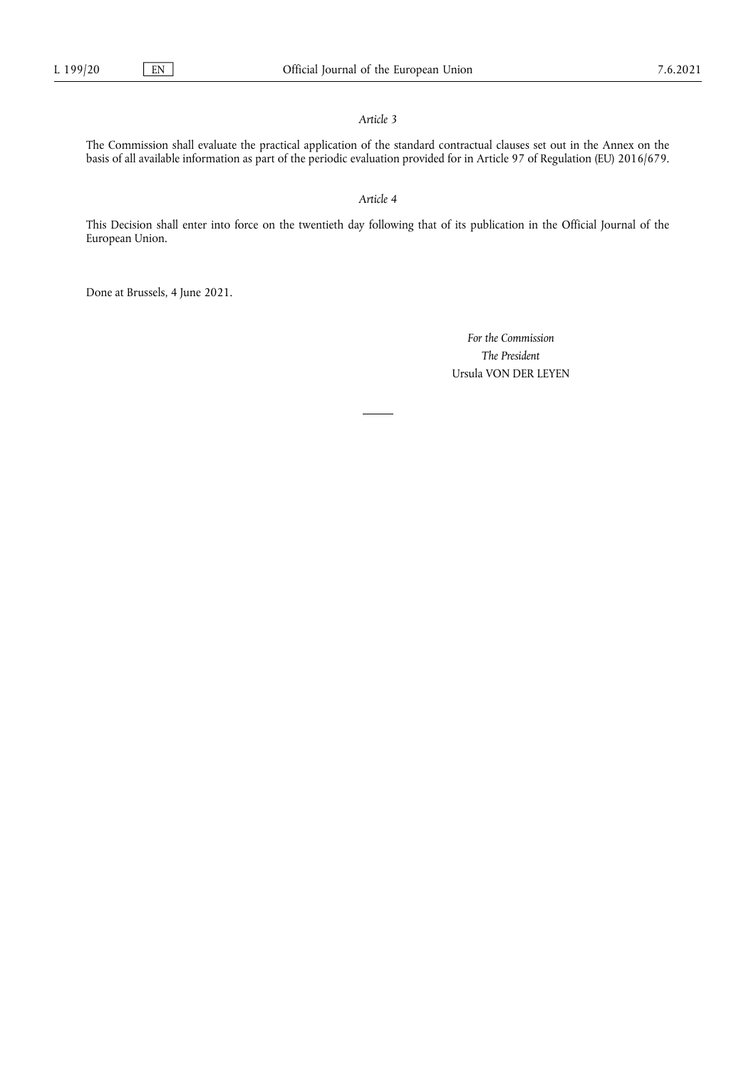# *Article 3*

The Commission shall evaluate the practical application of the standard contractual clauses set out in the Annex on the basis of all available information as part of the periodic evaluation provided for in Article 97 of Regulation (EU) 2016/679.

## *Article 4*

This Decision shall enter into force on the twentieth day following that of its publication in the Official Journal of the European Union.

Done at Brussels, 4 June 2021.

*For the Commission The President* Ursula VON DER LEYEN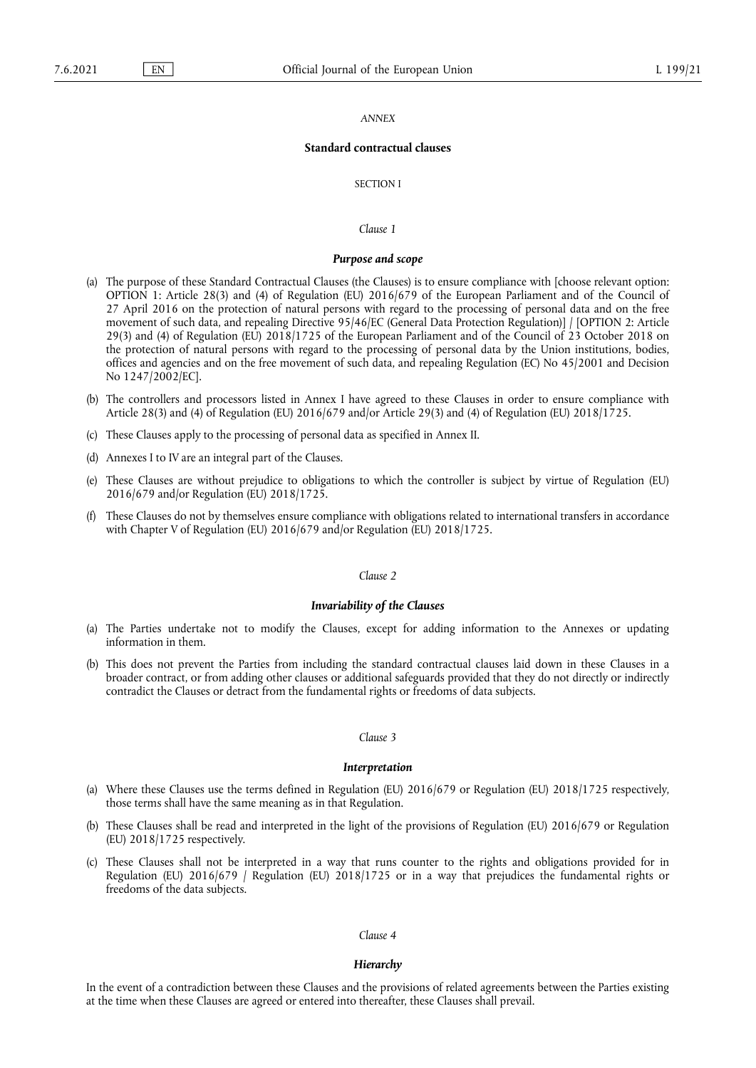#### *ANNEX*

## **Standard contractual clauses**

#### SECTION I

## *Clause 1*

### *Purpose and scope*

- (a) The purpose of these Standard Contractual Clauses (the Clauses) is to ensure compliance with [choose relevant option: OPTION 1: Article 28(3) and (4) of Regulation (EU) 2016/679 of the European Parliament and of the Council of 27 April 2016 on the protection of natural persons with regard to the processing of personal data and on the free movement of such data, and repealing Directive 95/46/EC (General Data Protection Regulation)] / [OPTION 2: Article 29(3) and (4) of Regulation (EU) 2018/1725 of the European Parliament and of the Council of 23 October 2018 on the protection of natural persons with regard to the processing of personal data by the Union institutions, bodies, offices and agencies and on the free movement of such data, and repealing Regulation (EC) No 45/2001 and Decision No 1247/2002/EC].
- (b) The controllers and processors listed in Annex I have agreed to these Clauses in order to ensure compliance with Article 28(3) and (4) of Regulation (EU) 2016/679 and/or Article 29(3) and (4) of Regulation (EU) 2018/1725.
- (c) These Clauses apply to the processing of personal data as specified in Annex II.
- (d) Annexes I to IV are an integral part of the Clauses.
- (e) These Clauses are without prejudice to obligations to which the controller is subject by virtue of Regulation (EU) 2016/679 and/or Regulation (EU) 2018/1725.
- (f) These Clauses do not by themselves ensure compliance with obligations related to international transfers in accordance with Chapter V of Regulation (EU) 2016/679 and/or Regulation (EU) 2018/1725.

#### *Clause 2*

## *Invariability of the Clauses*

- (a) The Parties undertake not to modify the Clauses, except for adding information to the Annexes or updating information in them.
- (b) This does not prevent the Parties from including the standard contractual clauses laid down in these Clauses in a broader contract, or from adding other clauses or additional safeguards provided that they do not directly or indirectly contradict the Clauses or detract from the fundamental rights or freedoms of data subjects.

#### *Clause 3*

#### *Interpretation*

- (a) Where these Clauses use the terms defined in Regulation (EU) 2016/679 or Regulation (EU) 2018/1725 respectively, those terms shall have the same meaning as in that Regulation.
- (b) These Clauses shall be read and interpreted in the light of the provisions of Regulation (EU) 2016/679 or Regulation (EU) 2018/1725 respectively.
- (c) These Clauses shall not be interpreted in a way that runs counter to the rights and obligations provided for in Regulation (EU) 2016/679 / Regulation (EU) 2018/1725 or in a way that prejudices the fundamental rights or freedoms of the data subjects.

#### *Clause 4*

### *Hierarchy*

In the event of a contradiction between these Clauses and the provisions of related agreements between the Parties existing at the time when these Clauses are agreed or entered into thereafter, these Clauses shall prevail.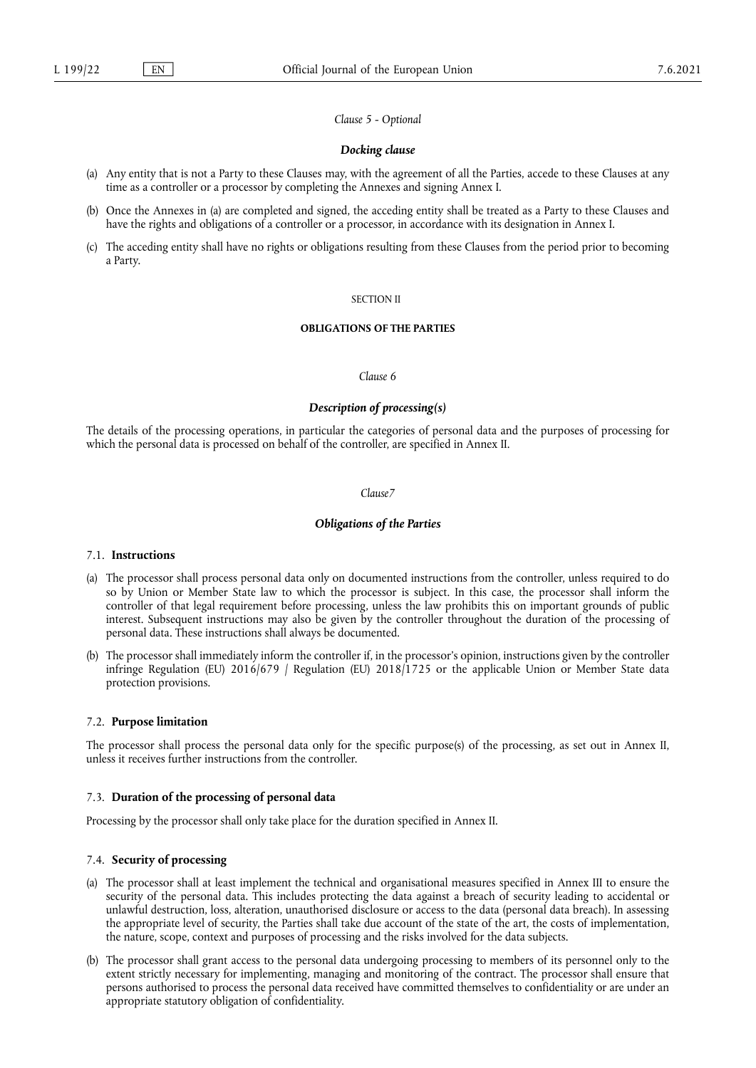### *Clause 5 - Optional*

### *Docking clause*

- (a) Any entity that is not a Party to these Clauses may, with the agreement of all the Parties, accede to these Clauses at any time as a controller or a processor by completing the Annexes and signing Annex I.
- (b) Once the Annexes in (a) are completed and signed, the acceding entity shall be treated as a Party to these Clauses and have the rights and obligations of a controller or a processor, in accordance with its designation in Annex I.
- (c) The acceding entity shall have no rights or obligations resulting from these Clauses from the period prior to becoming a Party.

### SECTION II

## **OBLIGATIONS OF THE PARTIES**

#### *Clause 6*

## *Description of processing(s)*

The details of the processing operations, in particular the categories of personal data and the purposes of processing for which the personal data is processed on behalf of the controller, are specified in Annex II.

### *Clause7*

## *Obligations of the Parties*

### 7.1. **Instructions**

- (a) The processor shall process personal data only on documented instructions from the controller, unless required to do so by Union or Member State law to which the processor is subject. In this case, the processor shall inform the controller of that legal requirement before processing, unless the law prohibits this on important grounds of public interest. Subsequent instructions may also be given by the controller throughout the duration of the processing of personal data. These instructions shall always be documented.
- (b) The processor shall immediately inform the controller if, in the processor's opinion, instructions given by the controller infringe Regulation (EU) 2016/679 / Regulation (EU) 2018/1725 or the applicable Union or Member State data protection provisions.

#### 7.2. **Purpose limitation**

The processor shall process the personal data only for the specific purpose(s) of the processing, as set out in Annex II, unless it receives further instructions from the controller.

### 7.3. **Duration of the processing of personal data**

Processing by the processor shall only take place for the duration specified in Annex II.

### 7.4. **Security of processing**

- (a) The processor shall at least implement the technical and organisational measures specified in Annex III to ensure the security of the personal data. This includes protecting the data against a breach of security leading to accidental or unlawful destruction, loss, alteration, unauthorised disclosure or access to the data (personal data breach). In assessing the appropriate level of security, the Parties shall take due account of the state of the art, the costs of implementation, the nature, scope, context and purposes of processing and the risks involved for the data subjects.
- (b) The processor shall grant access to the personal data undergoing processing to members of its personnel only to the extent strictly necessary for implementing, managing and monitoring of the contract. The processor shall ensure that persons authorised to process the personal data received have committed themselves to confidentiality or are under an appropriate statutory obligation of confidentiality.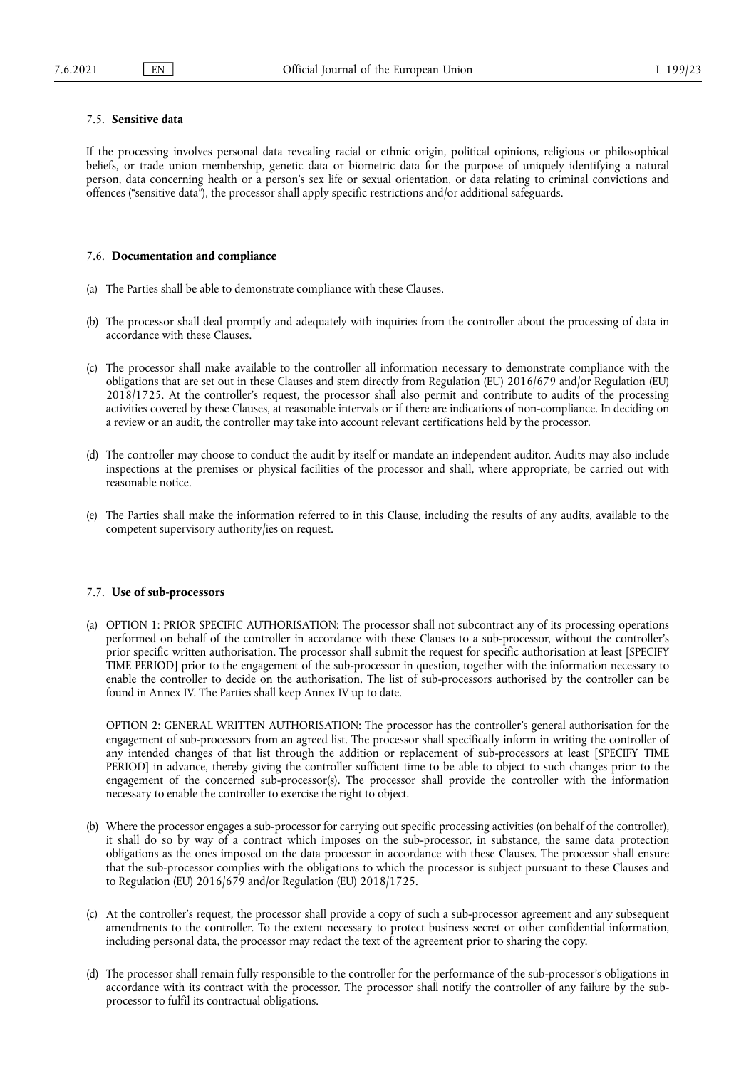## 7.5. **Sensitive data**

If the processing involves personal data revealing racial or ethnic origin, political opinions, religious or philosophical beliefs, or trade union membership, genetic data or biometric data for the purpose of uniquely identifying a natural person, data concerning health or a person's sex life or sexual orientation, or data relating to criminal convictions and offences ("sensitive data"), the processor shall apply specific restrictions and/or additional safeguards.

### 7.6. **Documentation and compliance**

- (a) The Parties shall be able to demonstrate compliance with these Clauses.
- (b) The processor shall deal promptly and adequately with inquiries from the controller about the processing of data in accordance with these Clauses.
- (c) The processor shall make available to the controller all information necessary to demonstrate compliance with the obligations that are set out in these Clauses and stem directly from Regulation (EU) 2016/679 and/or Regulation (EU) 2018/1725. At the controller's request, the processor shall also permit and contribute to audits of the processing activities covered by these Clauses, at reasonable intervals or if there are indications of non-compliance. In deciding on a review or an audit, the controller may take into account relevant certifications held by the processor.
- (d) The controller may choose to conduct the audit by itself or mandate an independent auditor. Audits may also include inspections at the premises or physical facilities of the processor and shall, where appropriate, be carried out with reasonable notice.
- (e) The Parties shall make the information referred to in this Clause, including the results of any audits, available to the competent supervisory authority/ies on request.

#### 7.7. **Use of sub-processors**

(a) OPTION 1: PRIOR SPECIFIC AUTHORISATION: The processor shall not subcontract any of its processing operations performed on behalf of the controller in accordance with these Clauses to a sub-processor, without the controller's prior specific written authorisation. The processor shall submit the request for specific authorisation at least [SPECIFY TIME PERIOD] prior to the engagement of the sub-processor in question, together with the information necessary to enable the controller to decide on the authorisation. The list of sub-processors authorised by the controller can be found in Annex IV. The Parties shall keep Annex IV up to date.

OPTION 2: GENERAL WRITTEN AUTHORISATION: The processor has the controller's general authorisation for the engagement of sub-processors from an agreed list. The processor shall specifically inform in writing the controller of any intended changes of that list through the addition or replacement of sub-processors at least [SPECIFY TIME PERIOD] in advance, thereby giving the controller sufficient time to be able to object to such changes prior to the engagement of the concerned sub-processor(s). The processor shall provide the controller with the information necessary to enable the controller to exercise the right to object.

- (b) Where the processor engages a sub-processor for carrying out specific processing activities (on behalf of the controller), it shall do so by way of a contract which imposes on the sub-processor, in substance, the same data protection obligations as the ones imposed on the data processor in accordance with these Clauses. The processor shall ensure that the sub-processor complies with the obligations to which the processor is subject pursuant to these Clauses and to Regulation (EU) 2016/679 and/or Regulation (EU) 2018/1725.
- (c) At the controller's request, the processor shall provide a copy of such a sub-processor agreement and any subsequent amendments to the controller. To the extent necessary to protect business secret or other confidential information, including personal data, the processor may redact the text of the agreement prior to sharing the copy.
- (d) The processor shall remain fully responsible to the controller for the performance of the sub-processor's obligations in accordance with its contract with the processor. The processor shall notify the controller of any failure by the subprocessor to fulfil its contractual obligations.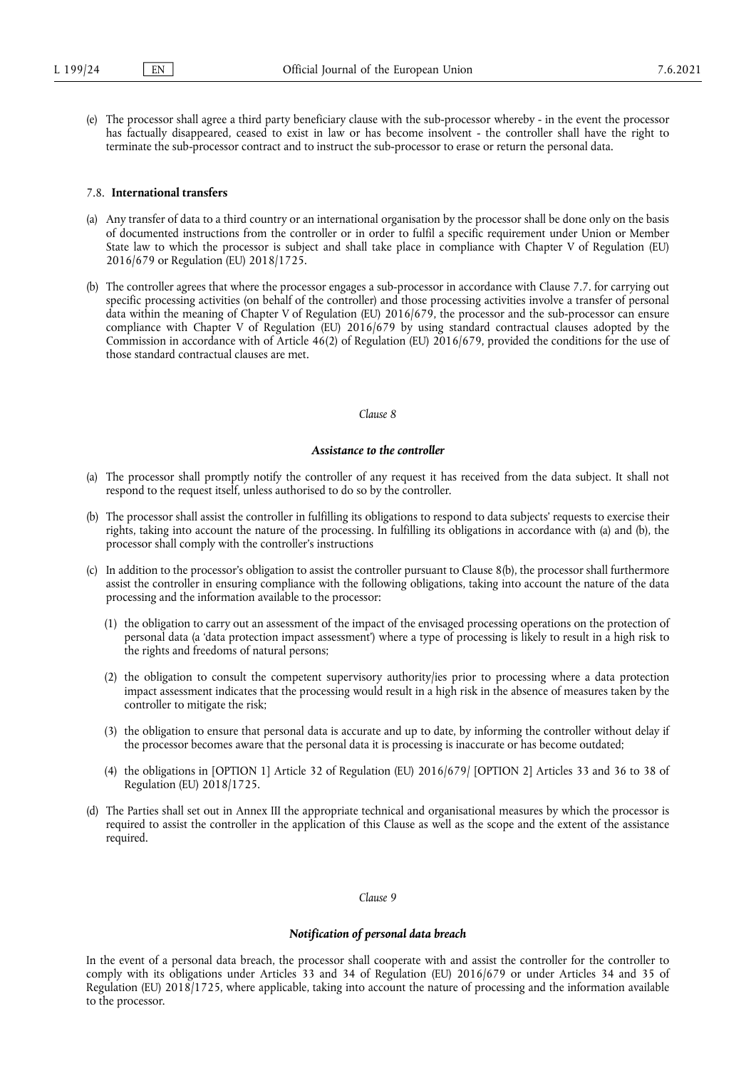(e) The processor shall agree a third party beneficiary clause with the sub-processor whereby - in the event the processor has factually disappeared, ceased to exist in law or has become insolvent - the controller shall have the right to terminate the sub-processor contract and to instruct the sub-processor to erase or return the personal data.

#### 7.8. **International transfers**

- (a) Any transfer of data to a third country or an international organisation by the processor shall be done only on the basis of documented instructions from the controller or in order to fulfil a specific requirement under Union or Member State law to which the processor is subject and shall take place in compliance with Chapter V of Regulation (EU) 2016/679 or Regulation (EU) 2018/1725.
- (b) The controller agrees that where the processor engages a sub-processor in accordance with Clause 7.7. for carrying out specific processing activities (on behalf of the controller) and those processing activities involve a transfer of personal data within the meaning of Chapter V of Regulation (EU) 2016/679, the processor and the sub-processor can ensure compliance with Chapter V of Regulation (EU) 2016/679 by using standard contractual clauses adopted by the Commission in accordance with of Article 46(2) of Regulation (EU) 2016/679, provided the conditions for the use of those standard contractual clauses are met.

## *Clause 8*

## *Assistance to the controller*

- (a) The processor shall promptly notify the controller of any request it has received from the data subject. It shall not respond to the request itself, unless authorised to do so by the controller.
- (b) The processor shall assist the controller in fulfilling its obligations to respond to data subjects' requests to exercise their rights, taking into account the nature of the processing. In fulfilling its obligations in accordance with (a) and (b), the processor shall comply with the controller's instructions
- (c) In addition to the processor's obligation to assist the controller pursuant to Clause  $8(b)$ , the processor shall furthermore assist the controller in ensuring compliance with the following obligations, taking into account the nature of the data processing and the information available to the processor:
	- (1) the obligation to carry out an assessment of the impact of the envisaged processing operations on the protection of personal data (a 'data protection impact assessment') where a type of processing is likely to result in a high risk to the rights and freedoms of natural persons;
	- (2) the obligation to consult the competent supervisory authority/ies prior to processing where a data protection impact assessment indicates that the processing would result in a high risk in the absence of measures taken by the controller to mitigate the risk;
	- (3) the obligation to ensure that personal data is accurate and up to date, by informing the controller without delay if the processor becomes aware that the personal data it is processing is inaccurate or has become outdated;
	- (4) the obligations in [OPTION 1] Article 32 of Regulation (EU) 2016/679/ [OPTION 2] Articles 33 and 36 to 38 of Regulation (EU) 2018/1725.
- (d) The Parties shall set out in Annex III the appropriate technical and organisational measures by which the processor is required to assist the controller in the application of this Clause as well as the scope and the extent of the assistance required.

## *Clause 9*

### *Notification of personal data breach*

In the event of a personal data breach, the processor shall cooperate with and assist the controller for the controller to comply with its obligations under Articles 33 and 34 of Regulation (EU) 2016/679 or under Articles 34 and 35 of Regulation (EU) 2018/1725, where applicable, taking into account the nature of processing and the information available to the processor.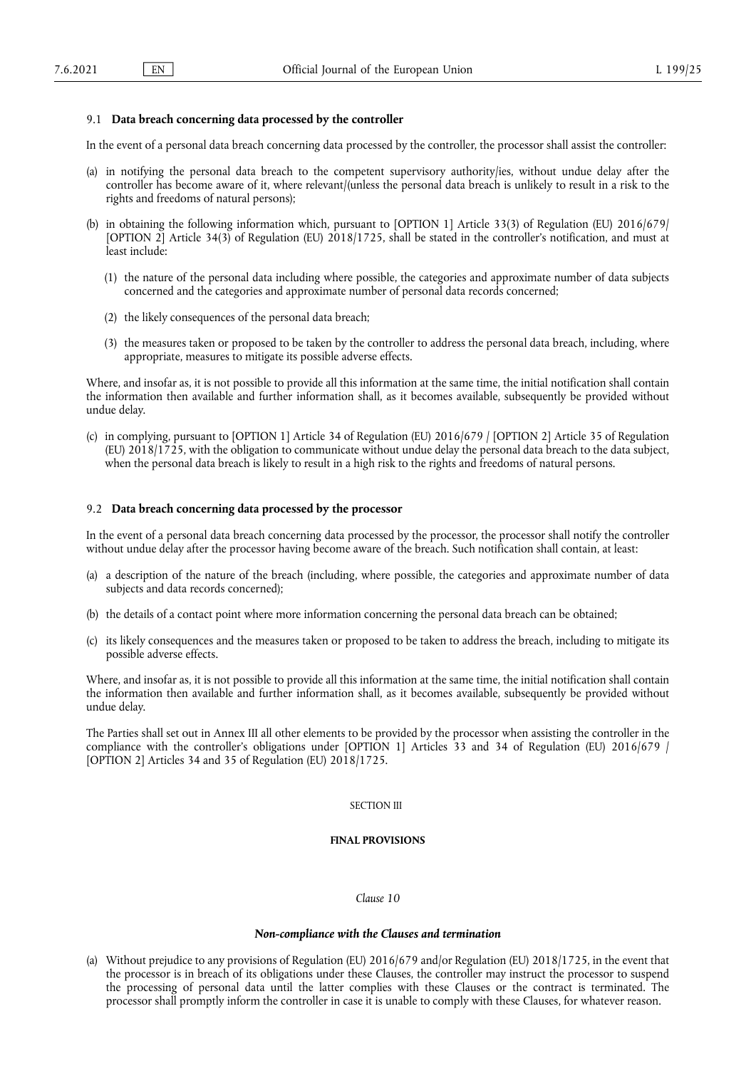### 9.1 **Data breach concerning data processed by the controller**

In the event of a personal data breach concerning data processed by the controller, the processor shall assist the controller:

- (a) in notifying the personal data breach to the competent supervisory authority/ies, without undue delay after the controller has become aware of it, where relevant/(unless the personal data breach is unlikely to result in a risk to the rights and freedoms of natural persons);
- (b) in obtaining the following information which, pursuant to [OPTION 1] Article 33(3) of Regulation (EU) 2016/679/ [OPTION 2] Article 34(3) of Regulation (EU) 2018/1725, shall be stated in the controller's notification, and must at least include:
	- (1) the nature of the personal data including where possible, the categories and approximate number of data subjects concerned and the categories and approximate number of personal data records concerned;
	- (2) the likely consequences of the personal data breach;
	- (3) the measures taken or proposed to be taken by the controller to address the personal data breach, including, where appropriate, measures to mitigate its possible adverse effects.

Where, and insofar as, it is not possible to provide all this information at the same time, the initial notification shall contain the information then available and further information shall, as it becomes available, subsequently be provided without undue delay.

(c) in complying, pursuant to [OPTION 1] Article 34 of Regulation (EU) 2016/679 / [OPTION 2] Article 35 of Regulation (EU) 2018/1725, with the obligation to communicate without undue delay the personal data breach to the data subject, when the personal data breach is likely to result in a high risk to the rights and freedoms of natural persons.

### 9.2 **Data breach concerning data processed by the processor**

In the event of a personal data breach concerning data processed by the processor, the processor shall notify the controller without undue delay after the processor having become aware of the breach. Such notification shall contain, at least:

- (a) a description of the nature of the breach (including, where possible, the categories and approximate number of data subjects and data records concerned);
- (b) the details of a contact point where more information concerning the personal data breach can be obtained;
- (c) its likely consequences and the measures taken or proposed to be taken to address the breach, including to mitigate its possible adverse effects.

Where, and insofar as, it is not possible to provide all this information at the same time, the initial notification shall contain the information then available and further information shall, as it becomes available, subsequently be provided without undue delay.

The Parties shall set out in Annex III all other elements to be provided by the processor when assisting the controller in the compliance with the controller's obligations under [OPTION 1] Articles 33 and 34 of Regulation (EU) 2016/679 / [OPTION 2] Articles 34 and 35 of Regulation (EU) 2018/1725.

### SECTION III

## **FINAL PROVISIONS**

### *Clause 10*

#### *Non-compliance with the Clauses and termination*

(a) Without prejudice to any provisions of Regulation (EU) 2016/679 and/or Regulation (EU) 2018/1725, in the event that the processor is in breach of its obligations under these Clauses, the controller may instruct the processor to suspend the processing of personal data until the latter complies with these Clauses or the contract is terminated. The processor shall promptly inform the controller in case it is unable to comply with these Clauses, for whatever reason.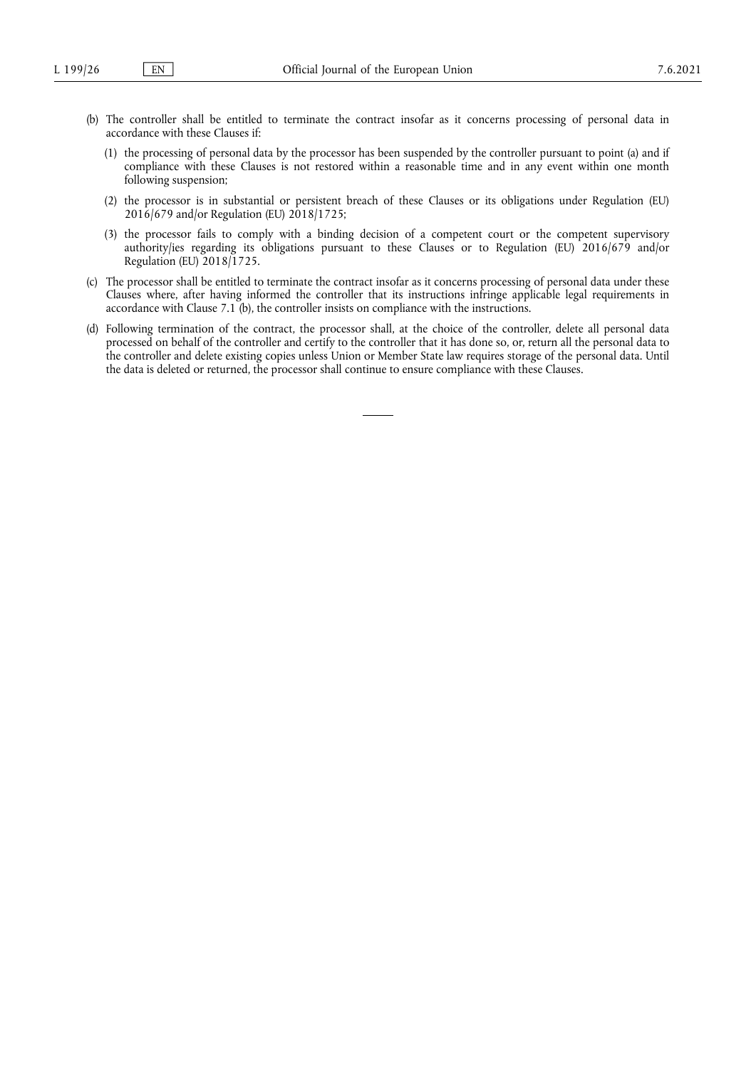- (b) The controller shall be entitled to terminate the contract insofar as it concerns processing of personal data in accordance with these Clauses if:
	- (1) the processing of personal data by the processor has been suspended by the controller pursuant to point (a) and if compliance with these Clauses is not restored within a reasonable time and in any event within one month following suspension;
	- (2) the processor is in substantial or persistent breach of these Clauses or its obligations under Regulation (EU) 2016/679 and/or Regulation (EU) 2018/1725;
	- (3) the processor fails to comply with a binding decision of a competent court or the competent supervisory authority/ies regarding its obligations pursuant to these Clauses or to Regulation (EU) 2016/679 and/or Regulation (EU) 2018/1725.
- (c) The processor shall be entitled to terminate the contract insofar as it concerns processing of personal data under these Clauses where, after having informed the controller that its instructions infringe applicable legal requirements in accordance with Clause 7.1 (b), the controller insists on compliance with the instructions.
- (d) Following termination of the contract, the processor shall, at the choice of the controller, delete all personal data processed on behalf of the controller and certify to the controller that it has done so, or, return all the personal data to the controller and delete existing copies unless Union or Member State law requires storage of the personal data. Until the data is deleted or returned, the processor shall continue to ensure compliance with these Clauses.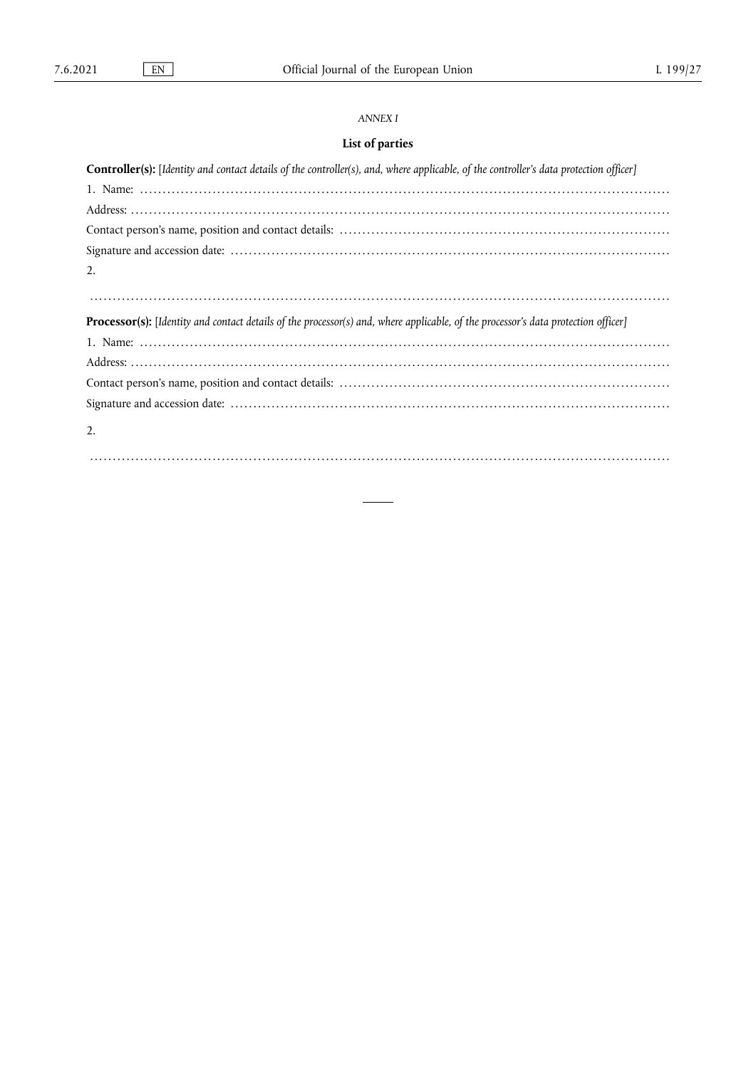## **ANNEX I**

## List of parties

Controller(s): [Identity and contact details of the controller(s), and, where applicable, of the controller's data protection officer]  $\overline{2}$ . Processor(s): [Identity and contact details of the processor(s) and, where applicable, of the processor's data protection officer]  $\overline{2}$ .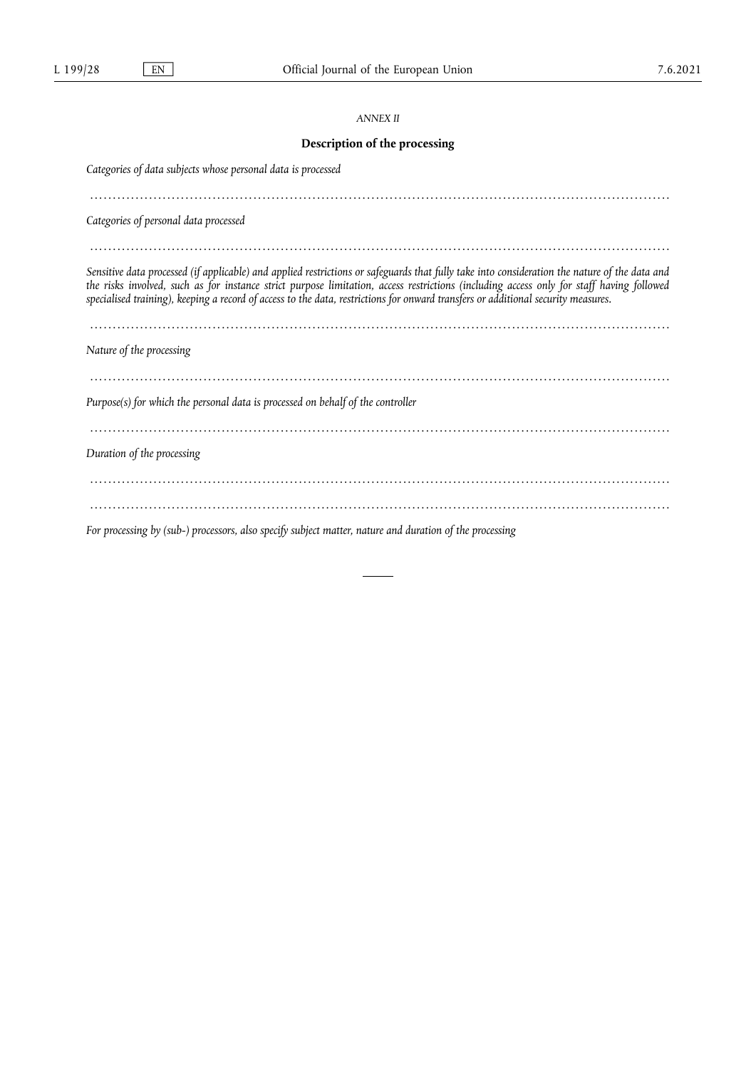### *ANNEX II*

### **Description of the processing**

*Categories of data subjects whose personal data is processed*

*Categories of personal data processed*

. . . . . . . . . . . . . . . . . . . . . . . . . . . . . . . . . . . . . . . . . . . . . . . . . . . . . . . . . . . . . . . . . . . . . . . . . . . . . . . . . . . . . . . . . . . . . . . . . . . . . . . . . . . . . . . . . . . . . . . . . . . . . . . .

. . . . . . . . . . . . . . . . . . . . . . . . . . . . . . . . . . . . . . . . . . . . . . . . . . . . . . . . . . . . . . . . . . . . . . . . . . . . . . . . . . . . . . . . . . . . . . . . . . . . . . . . . . . . . . . . . . . . . . . . . . . . . . . .

*Sensitive data processed (if applicable) and applied restrictions or safeguards that fully take into consideration the nature of the data and the risks involved, such as for instance strict purpose limitation, access restrictions (including access only for staff having followed specialised training), keeping a record of access to the data, restrictions for onward transfers or additional security measures.*

. . . . . . . . . . . . . . . . . . . . . . . . . . . . . . . . . . . . . . . . . . . . . . . . . . . . . . . . . . . . . . . . . . . . . . . . . . . . . . . . . . . . . . . . . . . . . . . . . . . . . . . . . . . . . . . . . . . . . . . . . . . . . . . .

. . . . . . . . . . . . . . . . . . . . . . . . . . . . . . . . . . . . . . . . . . . . . . . . . . . . . . . . . . . . . . . . . . . . . . . . . . . . . . . . . . . . . . . . . . . . . . . . . . . . . . . . . . . . . . . . . . . . . . . . . . . . . . . .

. . . . . . . . . . . . . . . . . . . . . . . . . . . . . . . . . . . . . . . . . . . . . . . . . . . . . . . . . . . . . . . . . . . . . . . . . . . . . . . . . . . . . . . . . . . . . . . . . . . . . . . . . . . . . . . . . . . . . . . . . . . . . . . .

*Nature of the processing*

*Purpose(s) for which the personal data is processed on behalf of the controller*

*Duration of the processing*

. . . . . . . . . . . . . . . . . . . . . . . . . . . . . . . . . . . . . . . . . . . . . . . . . . . . . . . . . . . . . . . . . . . . . . . . . . . . . . . . . . . . . . . . . . . . . . . . . . . . . . . . . . . . . . . . . . . . . . . . . . . . . . . .

*For processing by (sub-) processors, also specify subject matter, nature and duration of the processing*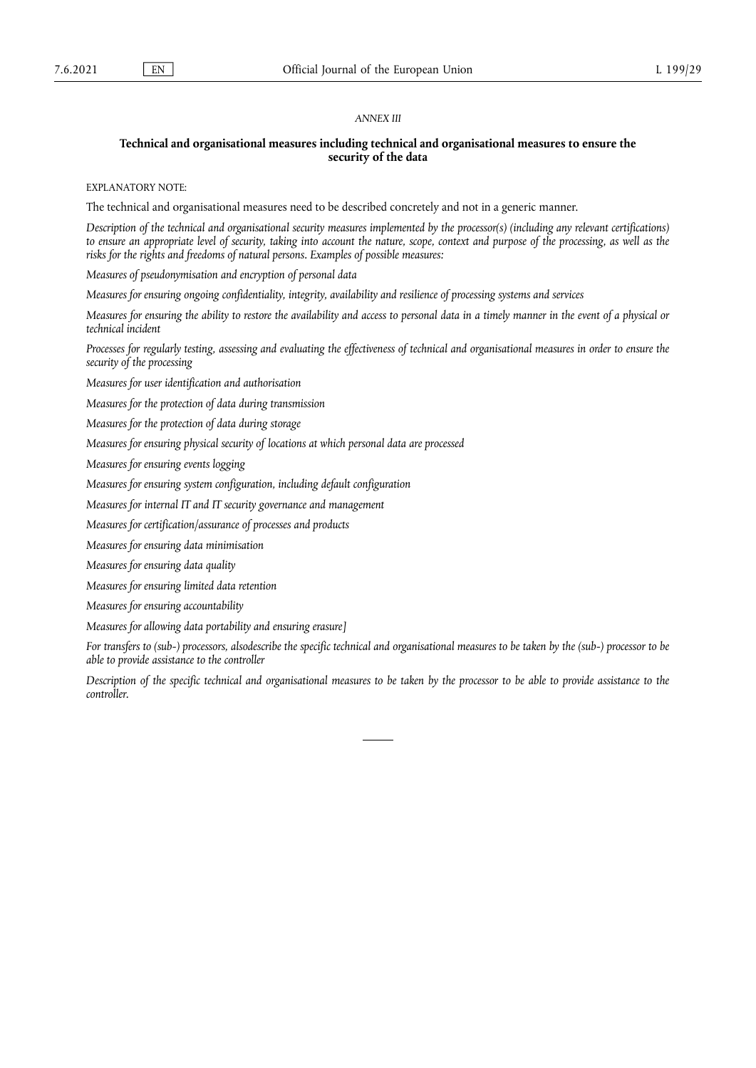#### *ANNEX III*

## **Technical and organisational measures including technical and organisational measures to ensure the security of the data**

## EXPLANATORY NOTE:

The technical and organisational measures need to be described concretely and not in a generic manner.

*Description of the technical and organisational security measures implemented by the processor(s) (including any relevant certifications)*  to ensure an appropriate level of security, taking into account the nature, scope, context and purpose of the processing, as well as the *risks for the rights and freedoms of natural persons. Examples of possible measures:*

*Measures of pseudonymisation and encryption of personal data*

*Measures for ensuring ongoing confidentiality, integrity, availability and resilience of processing systems and services*

*Measures for ensuring the ability to restore the availability and access to personal data in a timely manner in the event of a physical or technical incident*

*Processes for regularly testing, assessing and evaluating the effectiveness of technical and organisational measures in order to ensure the security of the processing*

*Measures for user identification and authorisation*

*Measures for the protection of data during transmission*

*Measures for the protection of data during storage*

*Measures for ensuring physical security of locations at which personal data are processed*

*Measures for ensuring events logging*

*Measures for ensuring system configuration, including default configuration*

*Measures for internal IT and IT security governance and management*

*Measures for certification/assurance of processes and products*

*Measures for ensuring data minimisation*

*Measures for ensuring data quality*

*Measures for ensuring limited data retention*

*Measures for ensuring accountability*

*Measures for allowing data portability and ensuring erasure]*

*For transfers to (sub-) processors, alsodescribe the specific technical and organisational measures to be taken by the (sub-) processor to be able to provide assistance to the controller*

*Description of the specific technical and organisational measures to be taken by the processor to be able to provide assistance to the controller.*